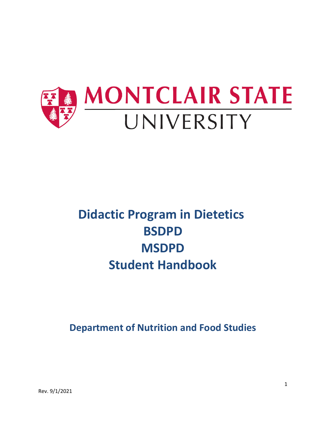

# **Didactic Program in Dietetics BSDPD MSDPD Student Handbook**

**Department of Nutrition and Food Studies**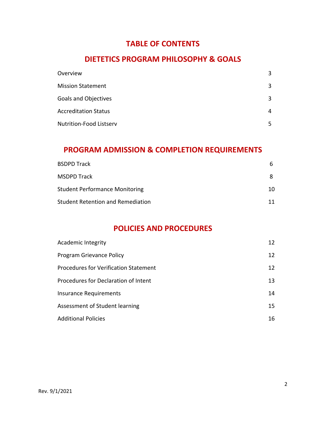### **TABLE OF CONTENTS**

### **DIETETICS PROGRAM PHILOSOPHY & GOALS**

| Overview                       | 3 |
|--------------------------------|---|
| <b>Mission Statement</b>       | 3 |
| <b>Goals and Objectives</b>    | 3 |
| <b>Accreditation Status</b>    | 4 |
| <b>Nutrition-Food Listserv</b> | 5 |

### **PROGRAM ADMISSION & COMPLETION REQUIREMENTS**

| <b>BSDPD Track</b>                    | h  |
|---------------------------------------|----|
| <b>MSDPD Track</b>                    |    |
| <b>Student Performance Monitoring</b> | 10 |
| Student Retention and Remediation     | 11 |

# **POLICIES AND PROCEDURES**

| Academic Integrity                           | 12 |
|----------------------------------------------|----|
| Program Grievance Policy                     | 12 |
| <b>Procedures for Verification Statement</b> | 12 |
| Procedures for Declaration of Intent         | 13 |
| <b>Insurance Requirements</b>                | 14 |
| Assessment of Student learning               | 15 |
| <b>Additional Policies</b>                   | 16 |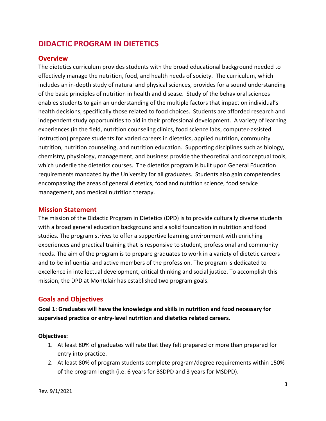# **DIDACTIC PROGRAM IN DIETETICS**

#### **Overview**

The dietetics curriculum provides students with the broad educational background needed to effectively manage the nutrition, food, and health needs of society. The curriculum, which includes an in-depth study of natural and physical sciences, provides for a sound understanding of the basic principles of nutrition in health and disease. Study of the behavioral sciences enables students to gain an understanding of the multiple factors that impact on individual's health decisions, specifically those related to food choices. Students are afforded research and independent study opportunities to aid in their professional development. A variety of learning experiences (in the field, nutrition counseling clinics, food science labs, computer-assisted instruction) prepare students for varied careers in dietetics, applied nutrition, community nutrition, nutrition counseling, and nutrition education. Supporting disciplines such as biology, chemistry, physiology, management, and business provide the theoretical and conceptual tools, which underlie the dietetics courses. The dietetics program is built upon General Education requirements mandated by the University for all graduates. Students also gain competencies encompassing the areas of general dietetics, food and nutrition science, food service management, and medical nutrition therapy.

#### **Mission Statement**

The mission of the Didactic Program in Dietetics (DPD) is to provide culturally diverse students with a broad general education background and a solid foundation in nutrition and food studies. The program strives to offer a supportive learning environment with enriching experiences and practical training that is responsive to student, professional and community needs. The aim of the program is to prepare graduates to work in a variety of dietetic careers and to be influential and active members of the profession. The program is dedicated to excellence in intellectual development, critical thinking and social justice. To accomplish this mission, the DPD at Montclair has established two program goals.

#### **Goals and Objectives**

**Goal 1: Graduates will have the knowledge and skills in nutrition and food necessary for supervised practice or entry-level nutrition and dietetics related careers.**

#### **Objectives:**

- 1. At least 80% of graduates will rate that they felt prepared or more than prepared for entry into practice.
- 2. At least 80% of program students complete program/degree requirements within 150% of the program length (i.e. 6 years for BSDPD and 3 years for MSDPD).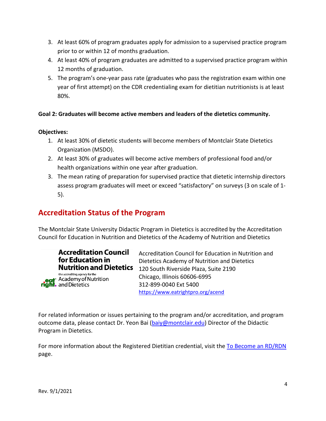- 3. At least 60% of program graduates apply for admission to a supervised practice program prior to or within 12 of months graduation.
- 4. At least 40% of program graduates are admitted to a supervised practice program within 12 months of graduation.
- 5. The program's one-year pass rate (graduates who pass the registration exam within one year of first attempt) on the CDR credentialing exam for dietitian nutritionists is at least 80%.

#### **Goal 2: Graduates will become active members and leaders of the dietetics community.**

#### **Objectives:**

- 1. At least 30% of dietetic students will become members of Montclair State Dietetics Organization (MSDO).
- 2. At least 30% of graduates will become active members of professional food and/or health organizations within one year after graduation.
- 3. The mean rating of preparation for supervised practice that dietetic internship directors assess program graduates will meet or exceed "satisfactory" on surveys (3 on scale of 1- 5).

# **Accreditation Status of the Program**

The Montclair State University Didactic Program in Dietetics is accredited by the Accreditation Council for Education in Nutrition and Dietetics of the Academy of Nutrition and Dietetics

| <b>Accreditation Council</b><br>for Education in<br><b>Nutrition and Dietetics</b> |
|------------------------------------------------------------------------------------|
| the accrediting agency for the<br>eat Academy of Nutrition                         |

Accreditation Council for Education in Nutrition and Dietetics Academy of Nutrition and Dietetics 120 South Riverside Plaza, Suite 2190 Chicago, Illinois 60606-6995 312-899-0040 Ext 5400 <https://www.eatrightpro.org/acend>

For related information or issues pertaining to the program and/or accreditation, and program outcome data, please contact Dr. Yeon Bai [\(baiy@montclair.edu\)](mailto:baiy@montclair.edu) Director of the Didactic Program in Dietetics.

For more information about the Registered Dietitian credential, visit the [To Become an RD/RDN](https://www.montclair.edu/nutrition-and-food-studies/academic-programs/nutrition-and-food-science-with-a-concentration-in-dietetics/to-became-an-rd-rdn/) page.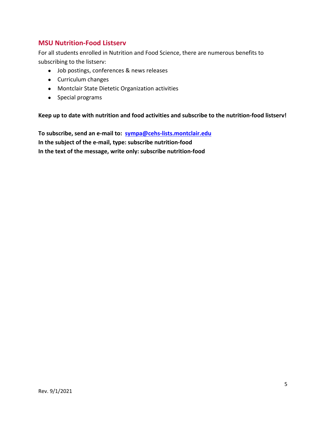### **MSU Nutrition-Food Listserv**

For all students enrolled in Nutrition and Food Science, there are numerous benefits to subscribing to the listserv:

- Job postings, conferences & news releases
- Curriculum changes
- Montclair State Dietetic Organization activities
- Special programs

**Keep up to date with nutrition and food activities and subscribe to the nutrition-food listserv!**

**To subscribe, send an e-mail to: [sympa@cehs-lists.montclair.edu](mailto:sympa@cehs-lists.montclair.edu) In the subject of the e-mail, type: subscribe nutrition-food In the text of the message, write only: subscribe nutrition-food**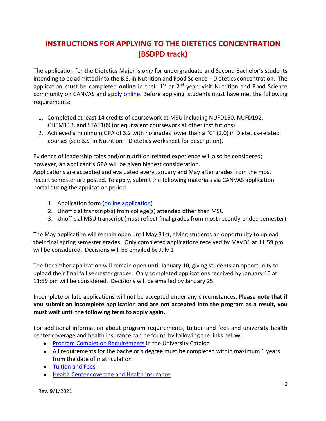# **INSTRUCTIONS FOR APPLYING TO THE DIETETICS CONCENTRATION (BSDPD track)**

The application for the Dietetics Major is *only* for undergraduate and Second Bachelor's students intending to be admitted into the B.S. in Nutrition and Food Science – Dietetics concentration. The application must be completed **online** in their 1<sup>st</sup> or 2<sup>nd</sup> year: visit Nutrition and Food Science community on CANVAS and apply [online.](https://montclair.instructure.com/courses/27427) Before applying, students must have met the following requirements:

- 1. Completed at least 14 credits of coursework at MSU including NUFD150, NUFD192, CHEM113, and STAT109 (or equivalent coursework at other institutions)
- 2. Achieved a minimum GPA of 3.2 with no grades lower than a "C" (2.0) in Dietetics-related courses (see B.S. in Nutrition – Dietetics worksheet for description).

Evidence of leadership roles and/or nutrition-related experience will also be considered; however, an applicant's GPA will be given highest consideration.

Applications are accepted and evaluated every January and May after grades from the most recent semester are posted. To apply, submit the following materials via CANVAS application portal during the application period

- 1. Application form [\(online application\)](https://montclair.instructure.com/courses/27427)
- 2. Unofficial transcript(s) from college(s) attended other than MSU
- 3. Unofficial MSU transcript (must reflect final grades from most recently-ended semester)

The May application will remain open until May 31st, giving students an opportunity to upload their final spring semester grades. Only completed applications received by May 31 at 11:59 pm will be considered. Decisions will be emailed by July 1

The December application will remain open until January 10, giving students an opportunity to upload their final fall semester grades. Only completed applications received by January 10 at 11:59 pm will be considered. Decisions will be emailed by January 25.

Incomplete or late applications will not be accepted under any circumstances. **Please note that if you submit an incomplete application and are not accepted into the program as a result, you must wait until the following term to apply again.**

For additional information about program requirements, tuition and fees and university health center coverage and health insurance can be found by following the links below.

- [Program Completion Requirements](http://catalog.montclair.edu/programs/nutrition-food-science-dietetics-concentration-bs/#programrequirementstext) in the University Catalog
- All requirements for the bachelor's degree must be completed within maximum 6 years from the date of matriculation
- [Tuition and Fees](https://www.montclair.edu/red-hawk-central/student-accounts/tuition-fees/)
- [Health Center coverage and Health Insurance](https://www.montclair.edu/red-hawk-central/student-accounts/student-health-insurance/)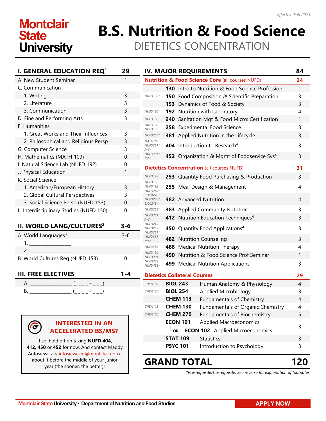# **Montclair State University**

# **B.S. Nutrition & Food Science** DIETETICS CONCENTRATION

| I. GENERAL EDUCATION REQ <sup>1</sup>   | 29       |
|-----------------------------------------|----------|
| A. New Student Seminar                  | 1        |
| C. Communication                        |          |
| 1. Writing                              | 3        |
| 2. Literature                           | 3        |
| 3. Communication                        | 3        |
| D. Fine and Performing Arts             | 3        |
| F. Humanities                           |          |
| 1. Great Works and Their Influences     | 3        |
| 2. Philosophical and Religious Persp    | 3        |
| G. Computer Science                     | 3        |
| H. Mathematics (MATH 109)               | $\Omega$ |
| I. Natural Science Lab (NUFD 192)       | 0        |
| J. Physical Education                   | 1        |
| K. Social Science                       |          |
| 1. American/European History            | 3        |
| 2. Global Cultural Perspectives         | 3        |
| 3. Social Science Persp (NUFD 153)      | 0        |
| L. Interdisciplinary Studies (NUFD 150) | 0        |
| II. WORLD LANG/CULTURES <sup>2</sup>    | $3 - 6$  |
| A. World Languages <sup>3</sup>         | $3 - 6$  |
|                                         |          |
|                                         |          |
| B. World Cultures Req (NUFD 153)        | 0        |
| <b>III. FREE ELECTIVES</b>              | 1-4      |
|                                         |          |

|  |  | $\overline{\phantom{0}}$ |  |  |
|--|--|--------------------------|--|--|
|  |  |                          |  |  |

 $\left(\widehat{\sigma}\right)$ 



If so, hold off on taking **NUFD 404, 412, 450** or **452** for now. And contact Maddy Antosiewicz [<antosiewczm@montclair.edu>](mailto:antosiewczm@montclair.edu) about it before the middle of your junior year (the sooner, the better)!

|                                              |     |                                     | <b>IV. MAJOR REQUIREMENTS</b>                               | 84 |
|----------------------------------------------|-----|-------------------------------------|-------------------------------------------------------------|----|
|                                              |     |                                     | <b>Nutrition &amp; Food Science Core (all courses NUFD)</b> | 24 |
|                                              | 130 |                                     | Intro to Nutrition & Food Science Profession                | 1  |
| NUFD130*                                     |     |                                     | 150 Food Composition & Scientific Preparation               | 3  |
|                                              | 153 |                                     | Dynamics of Food & Society                                  | 3  |
| <b>NUFD130*</b>                              | 192 |                                     | Nutrition with Laboratory                                   | 4  |
| <b>NUFD150</b>                               | 240 |                                     | Sanitation Mgt & Food Micro: Certification                  | 1  |
| <b>NUFD150</b><br><b>NUFD192</b>             | 258 |                                     | <b>Experimental Food Science</b>                            | 3  |
| NUFD258*                                     | 381 |                                     | Applied Nutrition in the Lifecycle                          | 3  |
| <b>MATH109</b><br>NUFD381*<br>Jr/Sr          | 404 |                                     | Introduction to Research <sup>4</sup>                       | 3  |
| NUFD381*<br>Jr/Sr                            |     |                                     | 452 Organization & Mgmt of Foodservice Sys <sup>4</sup>     | 3  |
|                                              |     |                                     | <b>Dietetics Concentration (all courses NUFD)</b>           | 31 |
| NUFD <sub>192</sub>                          | 253 |                                     | Quantity Food Purchasing & Production                       | 3  |
| <b>NUFD150</b><br><b>NUFD192</b><br>NUFD240* | 255 |                                     | Meal Design & Management                                    | 4  |
| <b>CHEM270</b><br>NUFD258*<br>BIOL243*       |     |                                     | <b>382</b> Advanced Nutrition                               | 4  |
| <b>NUFD258*</b>                              | 383 |                                     | <b>Applied Community Nutrition</b>                          | 3  |
| <b>NUFD381</b><br>Jr/Sr                      | 412 |                                     | Nutrition Education Techniques <sup>4</sup>                 | 3  |
| NUFD240<br><b>NUFD253</b><br>NUFD381*        | 450 |                                     | Quantity Food Applications <sup>4</sup>                     | 3  |
| <b>NUFD381</b><br>Jr/Sr                      | 482 |                                     | <b>Nutrition Counseling</b>                                 | 3  |
| <b>NUFD382</b>                               | 488 |                                     | <b>Medical Nutrition Therapy</b>                            | 4  |
| <b>NUFD130</b><br><b>NUFD381</b>             | 490 |                                     | Nutrition & Food Science Prof Seminar                       | 1  |
| <b>NUFD382</b><br>NUFD488*                   | 499 |                                     | <b>Medical Nutrition Applications</b>                       | 3  |
|                                              |     | <b>Dietetics Collateral Courses</b> |                                                             | 29 |
| <b>CHEM130</b>                               |     | <b>BIOL 243</b>                     | Human Anatomy & Physiology                                  | 4  |
| CHEM130                                      |     | <b>BIOL 254</b>                     | Applied Microbiology                                        | 3  |
|                                              |     | <b>CHEM 113</b>                     | <b>Fundamentals of Chemistry</b>                            | 4  |
| <b>CHEM113</b>                               |     | <b>CHEM 130</b>                     | <b>Fundamentals of Organic Chemistry</b>                    | 4  |
| <b>CHEM130</b>                               |     | <b>CHEM 270</b>                     | Fundamentals of Biochemistry                                | 5  |
|                                              |     | <b>ECON 101</b>                     | Applied Macroeconomics                                      | 3  |
|                                              |     |                                     | Lor- <b>ECON 102</b> Applied Microeconomics                 |    |
|                                              |     | <b>STAT 109</b>                     | <b>Statistics</b>                                           | 3  |
|                                              |     | <b>PSYC 101</b>                     | Introduction to Psychology                                  | 3  |

# **GRAND TOTAL 120**

*\*Pre-requisite/Co-requisite; See reverse for explanation of footnotes.*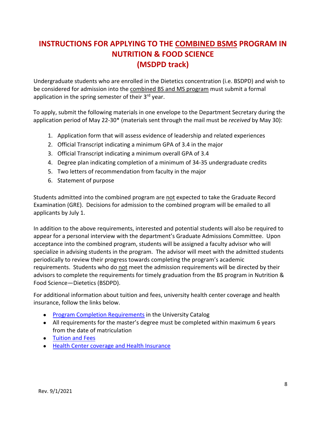# **INSTRUCTIONS FOR APPLYING TO THE COMBINED BSMS PROGRAM IN NUTRITION & FOOD SCIENCE (MSDPD track)**

Undergraduate students who are enrolled in the Dietetics concentration (i.e. BSDPD) and wish to be considered for admission into the combined BS and MS program must submit a formal application in the spring semester of their 3<sup>rd</sup> vear.

To apply, submit the following materials in one envelope to the Department Secretary during the application period of May 22-30\* (materials sent through the mail must be *received* by May 30):

- 1. Application form that will assess evidence of leadership and related experiences
- 2. Official Transcript indicating a minimum GPA of 3.4 in the major
- 3. Official Transcript indicating a minimum overall GPA of 3.4
- 4. Degree plan indicating completion of a minimum of 34-35 undergraduate credits
- 5. Two letters of recommendation from faculty in the major
- 6. Statement of purpose

Students admitted into the combined program are not expected to take the Graduate Record Examination (GRE). Decisions for admission to the combined program will be emailed to all applicants by July 1.

In addition to the above requirements, interested and potential students will also be required to appear for a personal interview with the department's Graduate Admissions Committee. Upon acceptance into the combined program, students will be assigned a faculty advisor who will specialize in advising students in the program. The advisor will meet with the admitted students periodically to review their progress towards completing the program's academic requirements. Students who do not meet the admission requirements will be directed by their advisors to complete the requirements for timely graduation from the BS program in Nutrition & Food Science—Dietetics (BSDPD).

For additional information about tuition and fees, university health center coverage and health insurance, follow the links below.

- [Program Completion Requirements](http://catalog.montclair.edu/programs/nutrition-food-science-ms/) in the University Catalog
- All requirements for the master's degree must be completed within maximum 6 years from the date of matriculation
- [Tuition and Fees](https://www.montclair.edu/red-hawk-central/tuition-fees/)
- [Health Center coverage and Health Insurance](https://www.montclair.edu/red-hawk-central/student-accounts/student-health-insurance/)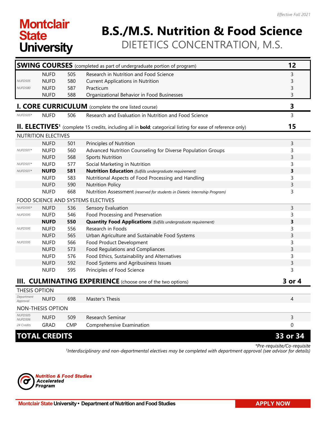# **Montclair State University**

# **B.S./M.S. Nutrition & Food Science** DIETETICS CONCENTRATION, M.S.

|                                  |                      |            | <b>SWING COURSES</b> (completed as part of undergraduate portion of program)                                            | 12       |
|----------------------------------|----------------------|------------|-------------------------------------------------------------------------------------------------------------------------|----------|
|                                  | <b>NUFD</b>          | 505        | Research in Nutrition and Food Science                                                                                  | 3        |
| <b>NUFD505</b>                   | <b>NUFD</b>          | 580        | <b>Current Applications in Nutrition</b>                                                                                | 3        |
| <b>NUFD580</b>                   | <b>NUFD</b>          | 587        | Practicum                                                                                                               | 3        |
|                                  | <b>NUFD</b>          | 588        | Organizational Behavior in Food Businesses                                                                              | 3        |
|                                  |                      |            | <b>I. CORE CURRICULUM</b> (complete the one listed course)                                                              | 3        |
| <b>NUFD505*</b>                  | <b>NUFD</b>          | 506        | Research and Evaluation in Nutrition and Food Science                                                                   | 3        |
|                                  |                      |            | II. ELECTIVES <sup>1</sup> (complete 15 credits, including all in bold; categorical listing for ease of reference only) | 15       |
|                                  | NUTRITION ELECTIVES  |            |                                                                                                                         |          |
|                                  | <b>NUFD</b>          | 501        | Principles of Nutrition                                                                                                 | 3        |
| NUFD501*                         | <b>NUFD</b>          | 560        | Advanced Nutrition Counseling for Diverse Population Groups                                                             | 3        |
|                                  | <b>NUFD</b>          | 568        | <b>Sports Nutrition</b>                                                                                                 | 3        |
| NUFD501*                         | <b>NUFD</b>          | 577        | Social Marketing in Nutrition                                                                                           | 3        |
| NUFD501*                         | <b>NUFD</b>          | 581        | <b>Nutrition Education</b> (fulfills undergraduate requirement)                                                         | 3        |
|                                  | <b>NUFD</b>          | 583        | Nutritional Aspects of Food Processing and Handling                                                                     | 3        |
|                                  | <b>NUFD</b>          | 590        | <b>Nutrition Policy</b>                                                                                                 | 3        |
|                                  | <b>NUFD</b>          | 668        | Nutrition Assessment (reserved for students in Dietetic Internship Program)                                             | 3        |
|                                  |                      |            | FOOD SCIENCE AND SYSTEMS ELECTIVES                                                                                      |          |
| NUFD595*                         | <b>NUFD</b>          | 536        | Sensory Evaluation                                                                                                      | 3        |
| <b>NUFD595</b>                   | <b>NUFD</b>          | 546        | Food Processing and Preservation                                                                                        | 3        |
|                                  | <b>NUFD</b>          | 550        | <b>Quantity Food Applications</b> (fulfills undergraduate requirement)                                                  | 3        |
| <b>NUFD595</b>                   | <b>NUFD</b>          | 556        | Research in Foods                                                                                                       | 3        |
|                                  | <b>NUFD</b>          | 565        | Urban Agriculture and Sustainable Food Systems                                                                          | 3        |
| NUFD595                          | <b>NUFD</b>          | 566        | Food Product Development                                                                                                | 3        |
|                                  | <b>NUFD</b>          | 573        | Food Regulations and Compliances                                                                                        | 3        |
|                                  | <b>NUFD</b>          | 576        | Food Ethics, Sustainability and Alternatives                                                                            | 3        |
|                                  | <b>NUFD</b>          | 592        | Food Systems and Agribusiness Issues                                                                                    | 3        |
|                                  | <b>NUFD</b>          | 595        | Principles of Food Science                                                                                              | 3        |
|                                  |                      |            | <b>III. CULMINATING EXPERIENCE</b> (choose one of the two options)                                                      | 3 or 4   |
| <b>THESIS OPTION</b>             |                      |            |                                                                                                                         |          |
| Department<br>Approval           | <b>NUFD</b>          | 698        | Master's Thesis                                                                                                         | 4        |
|                                  | NON-THESIS OPTION    |            |                                                                                                                         |          |
| <b>NUFD505</b><br><b>NUFD506</b> | <b>NUFD</b>          | 509        | Research Seminar                                                                                                        | 3        |
| 24 Credits                       | <b>GRAD</b>          | <b>CMP</b> | Comprehensive Examination                                                                                               | 0        |
|                                  | <b>TOTAL CREDITS</b> |            |                                                                                                                         | 33 or 34 |

*\*Pre-requisite/Co-requisite 1 Interdisciplinary and non-departmental electives may be completed with department approval (see advisor for details)*

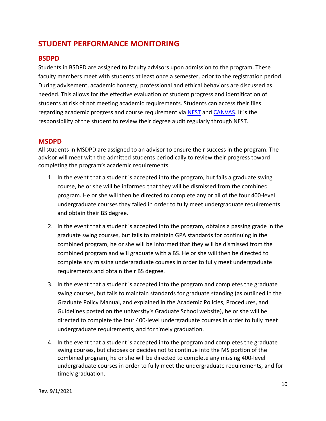# **STUDENT PERFORMANCE MONITORING**

#### **BSDPD**

Students in BSDPD are assigned to faculty advisors upon admission to the program. These faculty members meet with students at least once a semester, prior to the registration period. During advisement, academic honesty, professional and ethical behaviors are discussed as needed. This allows for the effective evaluation of student progress and identification of students at risk of not meeting academic requirements. Students can access their files regarding academic progress and course requirement via [NEST](https://auth.montclair.edu/authenticationendpoint/login.do?commonAuthCallerPath=%252Fcas%252Flogin&forceAuth=false&passiveAuth=false&tenantDomain=carbon.super&sessionDataKey=d1433003-396c-42ca-8685-853c506ca087&relyingParty=LuminisPlatformUserPortal&type=cassso&sp=LuminisPlatformUserPortal&isSaaSApp=false&authenticators=BasicAuthenticator:LOCAL) and [CANVAS.](https://montclair.instructure.com/login/ldap) It is the responsibility of the student to review their degree audit regularly through NEST.

#### **MSDPD**

All students in MSDPD are assigned to an advisor to ensure their success in the program. The advisor will meet with the admitted students periodically to review their progress toward completing the program's academic requirements.

- 1. In the event that a student is accepted into the program, but fails a graduate swing course, he or she will be informed that they will be dismissed from the combined program. He or she will then be directed to complete any or all of the four 400-level undergraduate courses they failed in order to fully meet undergraduate requirements and obtain their BS degree.
- 2. In the event that a student is accepted into the program, obtains a passing grade in the graduate swing courses, but fails to maintain GPA standards for continuing in the combined program, he or she will be informed that they will be dismissed from the combined program and will graduate with a BS. He or she will then be directed to complete any missing undergraduate courses in order to fully meet undergraduate requirements and obtain their BS degree.
- 3. In the event that a student is accepted into the program and completes the graduate swing courses, but fails to maintain standards for graduate standing (as outlined in the Graduate Policy Manual, and explained in the Academic Policies, Procedures, and Guidelines posted on the university's Graduate School website), he or she will be directed to complete the four 400-level undergraduate courses in order to fully meet undergraduate requirements, and for timely graduation.
- 4. In the event that a student is accepted into the program and completes the graduate swing courses, but chooses or decides not to continue into the MS portion of the combined program, he or she will be directed to complete any missing 400-level undergraduate courses in order to fully meet the undergraduate requirements, and for timely graduation.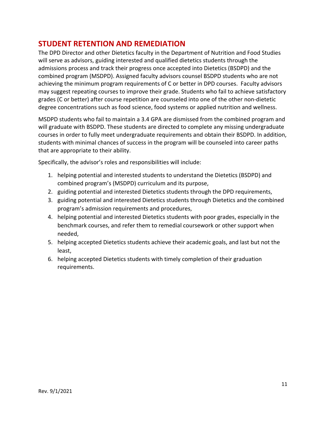### **STUDENT RETENTION AND REMEDIATION**

The DPD Director and other Dietetics faculty in the Department of Nutrition and Food Studies will serve as advisors, guiding interested and qualified dietetics students through the admissions process and track their progress once accepted into Dietetics (BSDPD) and the combined program (MSDPD). Assigned faculty advisors counsel BSDPD students who are not achieving the minimum program requirements of C or better in DPD courses. Faculty advisors may suggest repeating courses to improve their grade. Students who fail to achieve satisfactory grades (C or better) after course repetition are counseled into one of the other non-dietetic degree concentrations such as food science, food systems or applied nutrition and wellness.

MSDPD students who fail to maintain a 3.4 GPA are dismissed from the combined program and will graduate with BSDPD. These students are directed to complete any missing undergraduate courses in order to fully meet undergraduate requirements and obtain their BSDPD. In addition, students with minimal chances of success in the program will be counseled into career paths that are appropriate to their ability.

Specifically, the advisor's roles and responsibilities will include:

- 1. helping potential and interested students to understand the Dietetics (BSDPD) and combined program's (MSDPD) curriculum and its purpose,
- 2. guiding potential and interested Dietetics students through the DPD requirements,
- 3. guiding potential and interested Dietetics students through Dietetics and the combined program's admission requirements and procedures,
- 4. helping potential and interested Dietetics students with poor grades, especially in the benchmark courses, and refer them to remedial coursework or other support when needed,
- 5. helping accepted Dietetics students achieve their academic goals, and last but not the least,
- 6. helping accepted Dietetics students with timely completion of their graduation requirements.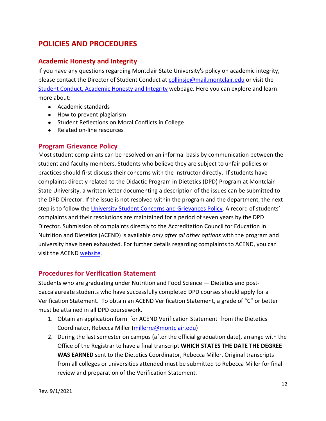# **POLICIES AND PROCEDURES**

#### **Academic Honesty and Integrity**

If you have any questions regarding Montclair State University's policy on academic integrity, please contact the Director of Student Conduct at [collinsje@mail.montclair.edu](mailto:collinsje@mail.montclair.edu) or visit the [Student Conduct, Academic Honesty and Integrity](https://www.montclair.edu/policies/all-policies/academic-honesty-and-integrity/) webpage. Here you can explore and learn more about:

- Academic standards
- How to prevent plagiarism
- Student Reflections on Moral Conflicts in College
- Related on-line resources

#### **Program Grievance Policy**

Most student complaints can be resolved on an informal basis by communication between the student and faculty members. Students who believe they are subject to unfair policies or practices should first discuss their concerns with the instructor directly. If students have complaints directly related to the Didactic Program in Dietetics (DPD) Program at Montclair State University, a written letter documenting a description of the issues can be submitted to the DPD Director. If the issue is not resolved within the program and the department, the next step is to follow the University [Student Concerns and Grievances Policy.](https://www.montclair.edu/cehs/students/student-concerns-and-grievances/) A record of students' complaints and their resolutions are maintained for a period of seven years by the DPD Director. Submission of complaints directly to the Accreditation Council for Education in Nutrition and Dietetics (ACEND) is available *only after all other options* with the program and university have been exhausted. For further details regarding complaints to ACEND, you can visit the ACEND [website.](https://www.eatrightpro.org/acend/public-notices-and-announcements/filing-a-complaint-with-acend)

#### **Procedures for Verification Statement**

Students who are graduating under Nutrition and Food Science — Dietetics and postbaccalaureate students who have successfully completed DPD courses should apply for a Verification Statement. To obtain an ACEND Verification Statement, a grade of "C" or better must be attained in all DPD coursework.

- 1. Obtain an [application form](https://www.montclair.edu/nutrition-and-food-studies/wp-content/uploads/sites/81/2018/11/Verification-Statement-Application.pdf) for ACEND Verification Statement from the Dietetics Coordinator, Rebecca Miller [\(millerre@montclair.edu\)](mailto:millerre@montclair.edu)
- 2. During the last semester on campus (after the official graduation date), arrange with the Office of the Registrar to have a final transcript **WHICH STATES THE DATE THE DEGREE WAS EARNED** sent to the Dietetics Coordinator, Rebecca Miller. Original transcripts from all colleges or universities attended must be submitted to Rebecca Miller for final review and preparation of the Verification Statement.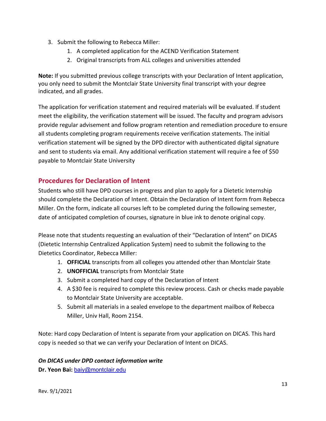- 3. Submit the following to Rebecca Miller:
	- 1. A completed application for the ACEND Verification Statement
	- 2. Original transcripts from ALL colleges and universities attended

**Note:** If you submitted previous college transcripts with your Declaration of Intent application, you only need to submit the Montclair State University final transcript with your degree indicated, and all grades.

The application for verification statement and required materials will be evaluated. If student meet the eligibility, the verification statement will be issued. The faculty and program advisors provide regular advisement and follow program retention and remediation procedure to ensure all students completing program requirements receive verification statements. The initial verification statement will be signed by the DPD director with authenticated digital signature and sent to students via email. Any additional verification statement will require a fee of \$50 payable to Montclair State University

### **Procedures for Declaration of Intent**

Students who still have DPD courses in progress and plan to apply for a Dietetic Internship should complete the Declaration of Intent. Obtain the Declaration of Intent form from Rebecca Miller. On the form, indicate all courses left to be completed during the following semester, date of anticipated completion of courses, signature in blue ink to denote original copy.

Please note that students requesting an evaluation of their "Declaration of Intent" on DICAS (Dietetic Internship Centralized Application System) need to submit the following to the Dietetics Coordinator, Rebecca Miller:

- 1. **OFFICIAL** transcripts from all colleges you attended other than Montclair State
- 2. **UNOFFICIAL** transcripts from Montclair State
- 3. Submit a completed hard copy of the Declaration of Intent
- 4. A \$30 fee is required to complete this review process. Cash or checks made payable to Montclair State University are acceptable.
- 5. Submit all materials in a sealed envelope to the department mailbox of Rebecca Miller, Univ Hall, Room 2154.

Note: Hard copy Declaration of Intent is separate from your application on DICAS. This hard copy is needed so that we can verify your Declaration of Intent on DICAS.

#### *On DICAS under DPD contact information write*

**Dr. Yeon Bai:** [baiy@montclair.edu](mailto:baiy@montclair.edu)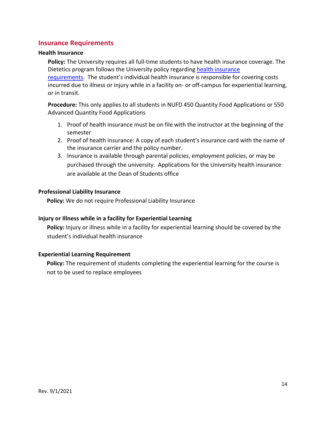#### **Insurance Requirements**

#### **Health Insurance**

**Policy:** The University requires all full-time students to have health insurance coverage. The Dietetics program follows the University policy regardin[g health insurance](https://www.montclair.edu/red-hawk-central/student-accounts/student-health-insurance/) 

[requirements.](https://www.montclair.edu/red-hawk-central/student-accounts/student-health-insurance/) The student's individual health insurance is responsible for covering costs incurred due to illness or injury while in a facility on- or off-campus for experiential learning, or in transit.

**Procedure:** This only applies to all students in NUFD 450 Quantity Food Applications or 550 Advanced Quantity Food Applications

- 1. Proof of health insurance must be on file with the instructor at the beginning of the semester
- 2. Proof of health insurance: A copy of each student's insurance card with the name of the insurance carrier and the policy number.
- 3. Insurance is available through parental policies, employment policies, or may be purchased through the university. Applications for the University health insurance are available at the Dean of Students office

#### **Professional Liability Insurance**

 **Policy:** We do not require Professional Liability Insurance

#### **Injury or Illness while in a facility for Experiential Learning**

 **Policy:** Injury or illness while in a facility for experiential learning should be covered by the student's individual health insurance

#### **Experiential Learning Requirement**

**Policy:** The requirement of students completing the experiential learning for the course is not to be used to replace employees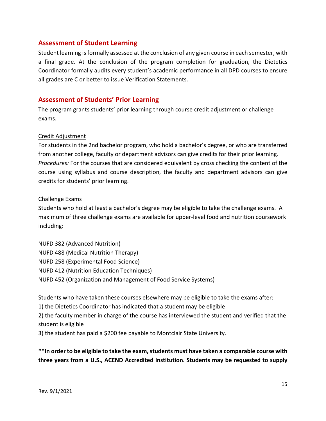#### **Assessment of Student Learning**

Student learning is formally assessed at the conclusion of any given course in each semester, with a final grade. At the conclusion of the program completion for graduation, the Dietetics Coordinator formally audits every student's academic performance in all DPD courses to ensure all grades are C or better to issue Verification Statements.

#### **Assessment of Students' Prior Learning**

The program grants students' prior learning through course credit adjustment or challenge exams.

#### Credit Adjustment

For students in the 2nd bachelor program, who hold a bachelor's degree, or who are transferred from another college, faculty or department advisors can give credits for their prior learning. *Procedures:* For the courses that are considered equivalent by cross checking the content of the course using syllabus and course description, the faculty and department advisors can give credits for students' prior learning.

#### Challenge Exams

Students who hold at least a bachelor's degree may be eligible to take the challenge exams. A maximum of three challenge exams are available for upper-level food and nutrition coursework including:

NUFD 382 (Advanced Nutrition) NUFD 488 (Medical Nutrition Therapy) NUFD 258 (Experimental Food Science) NUFD 412 (Nutrition Education Techniques) NUFD 452 (Organization and Management of Food Service Systems)

Students who have taken these courses elsewhere may be eligible to take the exams after:

1) the Dietetics Coordinator has indicated that a student may be eligible

2) the faculty member in charge of the course has interviewed the student and verified that the student is eligible

3) the student has paid a \$200 fee payable to Montclair State University.

**\*\*In order to be eligible to take the exam, students must have taken a comparable course with three years from a U.S., ACEND Accredited Institution. Students may be requested to supply**